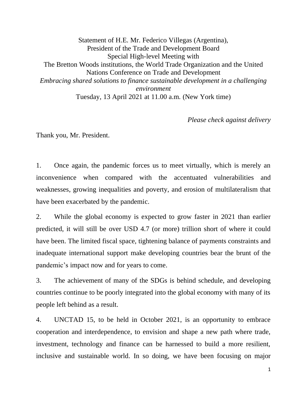Statement of H.E. Mr. Federico Villegas (Argentina), President of the Trade and Development Board Special High-level Meeting with The Bretton Woods institutions, the World Trade Organization and the United Nations Conference on Trade and Development *Embracing shared solutions to finance sustainable development in a challenging environment* Tuesday, 13 April 2021 at 11.00 a.m. (New York time)

*Please check against delivery*

Thank you, Mr. President.

1. Once again, the pandemic forces us to meet virtually, which is merely an inconvenience when compared with the accentuated vulnerabilities and weaknesses, growing inequalities and poverty, and erosion of multilateralism that have been exacerbated by the pandemic.

2. While the global economy is expected to grow faster in 2021 than earlier predicted, it will still be over USD 4.7 (or more) trillion short of where it could have been. The limited fiscal space, tightening balance of payments constraints and inadequate international support make developing countries bear the brunt of the pandemic's impact now and for years to come.

3. The achievement of many of the SDGs is behind schedule, and developing countries continue to be poorly integrated into the global economy with many of its people left behind as a result.

4. UNCTAD 15, to be held in October 2021, is an opportunity to embrace cooperation and interdependence, to envision and shape a new path where trade, investment, technology and finance can be harnessed to build a more resilient, inclusive and sustainable world. In so doing, we have been focusing on major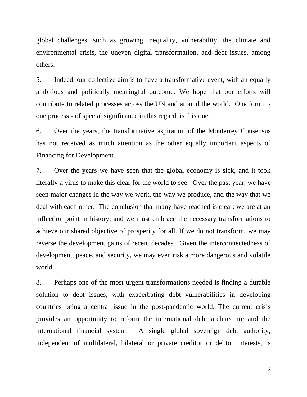global challenges, such as growing inequality, vulnerability, the climate and environmental crisis, the uneven digital transformation, and debt issues, among others.

5. Indeed, our collective aim is to have a transformative event, with an equally ambitious and politically meaningful outcome. We hope that our efforts will contribute to related processes across the UN and around the world. One forum one process - of special significance in this regard, is this one.

6. Over the years, the transformative aspiration of the Monterrey Consensus has not received as much attention as the other equally important aspects of Financing for Development.

7. Over the years we have seen that the global economy is sick, and it took literally a virus to make this clear for the world to see. Over the past year, we have seen major changes in the way we work, the way we produce, and the way that we deal with each other. The conclusion that many have reached is clear: we are at an inflection point in history, and we must embrace the necessary transformations to achieve our shared objective of prosperity for all. If we do not transform, we may reverse the development gains of recent decades. Given the interconnectedness of development, peace, and security, we may even risk a more dangerous and volatile world.

8. Perhaps one of the most urgent transformations needed is finding a durable solution to debt issues, with exacerbating debt vulnerabilities in developing countries being a central issue in the post-pandemic world. The current crisis provides an opportunity to reform the international debt architecture and the international financial system. A single global sovereign debt authority, independent of multilateral, bilateral or private creditor or debtor interests, is

2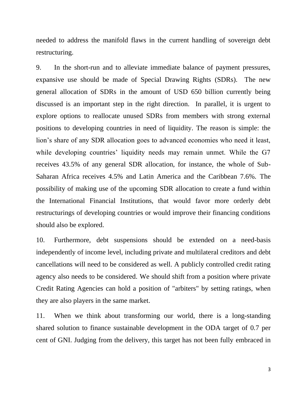needed to address the manifold flaws in the current handling of sovereign debt restructuring.

9. In the short-run and to alleviate immediate balance of payment pressures, expansive use should be made of Special Drawing Rights (SDRs). The new general allocation of SDRs in the amount of USD 650 billion currently being discussed is an important step in the right direction. In parallel, it is urgent to explore options to reallocate unused SDRs from members with strong external positions to developing countries in need of liquidity. The reason is simple: the lion's share of any SDR allocation goes to advanced economies who need it least, while developing countries' liquidity needs may remain unmet. While the G7 receives 43.5% of any general SDR allocation, for instance, the whole of Sub-Saharan Africa receives 4.5% and Latin America and the Caribbean 7.6%. The possibility of making use of the upcoming SDR allocation to create a fund within the International Financial Institutions, that would favor more orderly debt restructurings of developing countries or would improve their financing conditions should also be explored.

10. Furthermore, debt suspensions should be extended on a need-basis independently of income level, including private and multilateral creditors and debt cancellations will need to be considered as well. A publicly controlled credit rating agency also needs to be considered. We should shift from a position where private Credit Rating Agencies can hold a position of "arbiters" by setting ratings, when they are also players in the same market.

11. When we think about transforming our world, there is a long-standing shared solution to finance sustainable development in the ODA target of 0.7 per cent of GNI. Judging from the delivery, this target has not been fully embraced in

3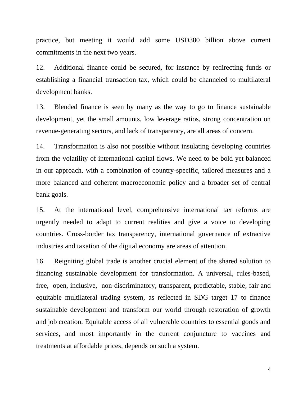practice, but meeting it would add some USD380 billion above current commitments in the next two years.

12. Additional finance could be secured, for instance by redirecting funds or establishing a financial transaction tax, which could be channeled to multilateral development banks.

13. Blended finance is seen by many as the way to go to finance sustainable development, yet the small amounts, low leverage ratios, strong concentration on revenue-generating sectors, and lack of transparency, are all areas of concern.

14. Transformation is also not possible without insulating developing countries from the volatility of international capital flows. We need to be bold yet balanced in our approach, with a combination of country-specific, tailored measures and a more balanced and coherent macroeconomic policy and a broader set of central bank goals.

15. At the international level, comprehensive international tax reforms are urgently needed to adapt to current realities and give a voice to developing countries. Cross-border tax transparency, international governance of extractive industries and taxation of the digital economy are areas of attention.

16. Reigniting global trade is another crucial element of the shared solution to financing sustainable development for transformation. A universal, rules-based, free, open, inclusive, non-discriminatory, transparent, predictable, stable, fair and equitable multilateral trading system, as reflected in SDG target 17 to finance sustainable development and transform our world through restoration of growth and job creation. Equitable access of all vulnerable countries to essential goods and services, and most importantly in the current conjuncture to vaccines and treatments at affordable prices, depends on such a system.